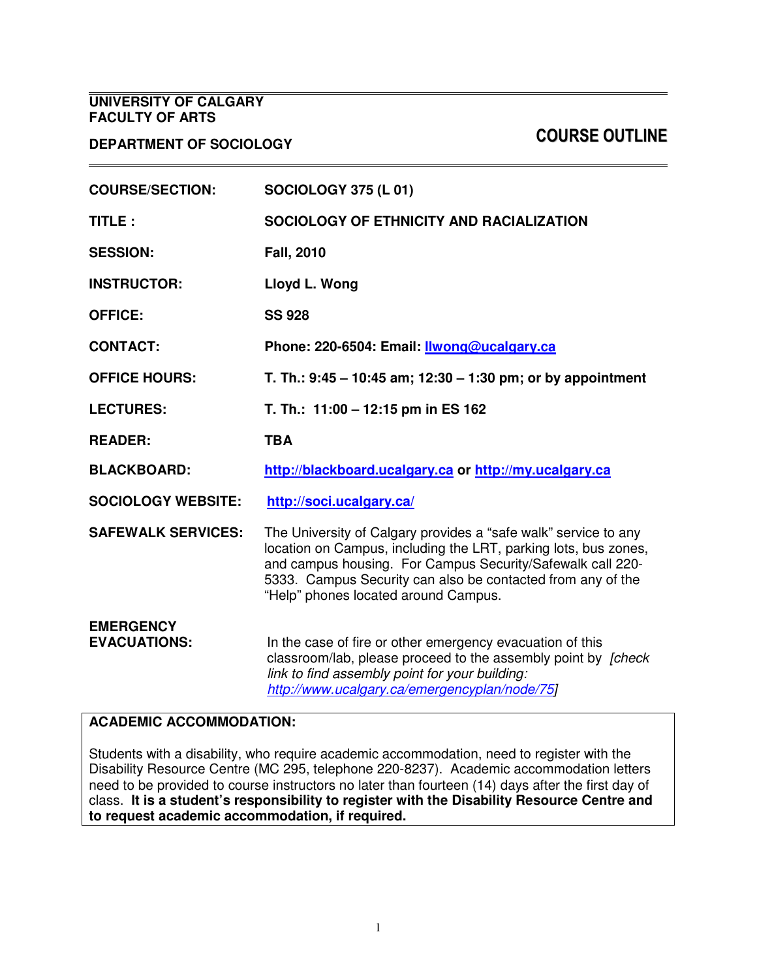### **UNIVERSITY OF CALGARY FACULTY OF ARTS**

# COURSE OUTLINE **DEPARTMENT OF SOCIOLOGY**

| <b>COURSE/SECTION:</b>                  | <b>SOCIOLOGY 375 (L 01)</b>                                                                                                                                                                                                                                                                             |  |
|-----------------------------------------|---------------------------------------------------------------------------------------------------------------------------------------------------------------------------------------------------------------------------------------------------------------------------------------------------------|--|
| TITLE:                                  | SOCIOLOGY OF ETHNICITY AND RACIALIZATION                                                                                                                                                                                                                                                                |  |
| <b>SESSION:</b>                         | <b>Fall, 2010</b>                                                                                                                                                                                                                                                                                       |  |
| <b>INSTRUCTOR:</b>                      | Lloyd L. Wong                                                                                                                                                                                                                                                                                           |  |
| <b>OFFICE:</b>                          | <b>SS 928</b>                                                                                                                                                                                                                                                                                           |  |
| <b>CONTACT:</b>                         | Phone: 220-6504: Email: Ilwong@ucalgary.ca                                                                                                                                                                                                                                                              |  |
| <b>OFFICE HOURS:</b>                    | T. Th.: $9:45 - 10:45$ am; $12:30 - 1:30$ pm; or by appointment                                                                                                                                                                                                                                         |  |
| <b>LECTURES:</b>                        | T. Th.: 11:00 - 12:15 pm in ES 162                                                                                                                                                                                                                                                                      |  |
| <b>READER:</b>                          | <b>TBA</b>                                                                                                                                                                                                                                                                                              |  |
| <b>BLACKBOARD:</b>                      | http://blackboard.ucalgary.ca or http://my.ucalgary.ca                                                                                                                                                                                                                                                  |  |
| <b>SOCIOLOGY WEBSITE:</b>               | http://soci.ucalgary.ca/                                                                                                                                                                                                                                                                                |  |
| <b>SAFEWALK SERVICES:</b>               | The University of Calgary provides a "safe walk" service to any<br>location on Campus, including the LRT, parking lots, bus zones,<br>and campus housing. For Campus Security/Safewalk call 220-<br>5333. Campus Security can also be contacted from any of the<br>"Help" phones located around Campus. |  |
| <b>EMERGENCY</b><br><b>EVACUATIONS:</b> | In the case of fire or other emergency evacuation of this<br>classroom/lab, please proceed to the assembly point by <i>[check</i> ]<br>link to find assembly point for your building:<br>http://www.ucalgary.ca/emergencyplan/node/75]                                                                  |  |

#### **ACADEMIC ACCOMMODATION:**

Students with a disability, who require academic accommodation, need to register with the Disability Resource Centre (MC 295, telephone 220-8237). Academic accommodation letters need to be provided to course instructors no later than fourteen (14) days after the first day of class. **It is a student's responsibility to register with the Disability Resource Centre and to request academic accommodation, if required.**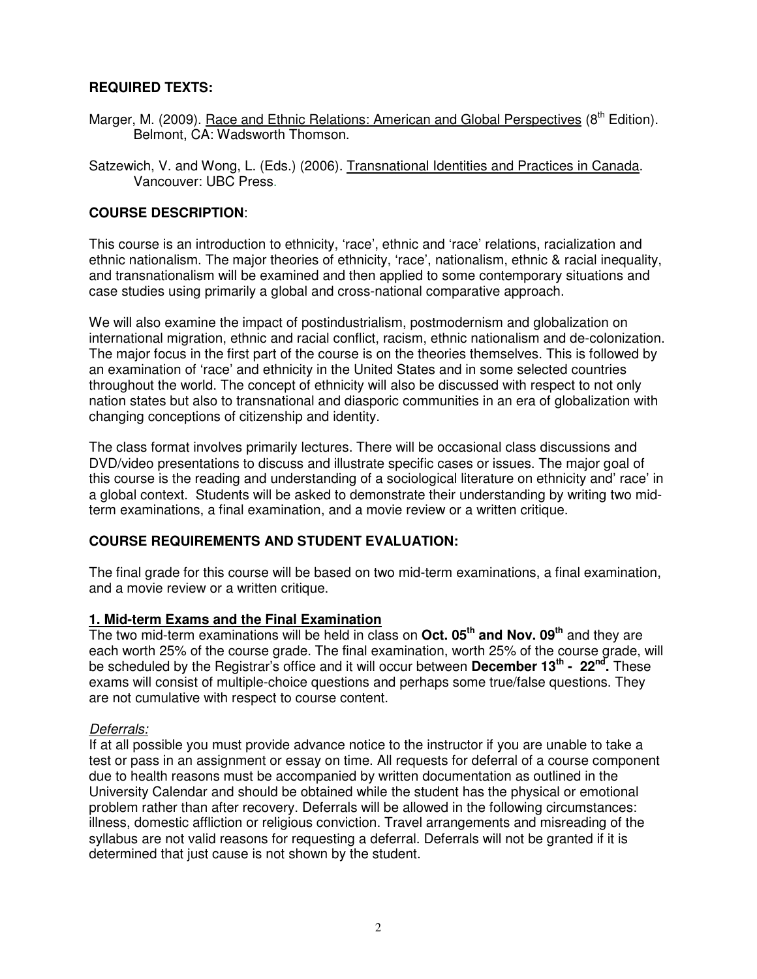### **REQUIRED TEXTS:**

- Marger, M. (2009). Race and Ethnic Relations: American and Global Perspectives (8<sup>th</sup> Edition). Belmont, CA: Wadsworth Thomson.
- Satzewich, V. and Wong, L. (Eds.) (2006). Transnational Identities and Practices in Canada. Vancouver: UBC Press.

#### **COURSE DESCRIPTION**:

This course is an introduction to ethnicity, 'race', ethnic and 'race' relations, racialization and ethnic nationalism. The major theories of ethnicity, 'race', nationalism, ethnic & racial inequality, and transnationalism will be examined and then applied to some contemporary situations and case studies using primarily a global and cross-national comparative approach.

We will also examine the impact of postindustrialism, postmodernism and globalization on international migration, ethnic and racial conflict, racism, ethnic nationalism and de-colonization. The major focus in the first part of the course is on the theories themselves. This is followed by an examination of 'race' and ethnicity in the United States and in some selected countries throughout the world. The concept of ethnicity will also be discussed with respect to not only nation states but also to transnational and diasporic communities in an era of globalization with changing conceptions of citizenship and identity.

The class format involves primarily lectures. There will be occasional class discussions and DVD/video presentations to discuss and illustrate specific cases or issues. The major goal of this course is the reading and understanding of a sociological literature on ethnicity and' race' in a global context. Students will be asked to demonstrate their understanding by writing two midterm examinations, a final examination, and a movie review or a written critique.

#### **COURSE REQUIREMENTS AND STUDENT EVALUATION:**

The final grade for this course will be based on two mid-term examinations, a final examination, and a movie review or a written critique.

#### **1. Mid-term Exams and the Final Examination**

The two mid-term examinations will be held in class on **Oct. 05th and Nov. 09th** and they are each worth 25% of the course grade. The final examination, worth 25% of the course grade, will be scheduled by the Registrar's office and it will occur between December 13<sup>th</sup> - 22<sup>nd</sup>. These exams will consist of multiple-choice questions and perhaps some true/false questions. They are not cumulative with respect to course content.

#### Deferrals:

If at all possible you must provide advance notice to the instructor if you are unable to take a test or pass in an assignment or essay on time. All requests for deferral of a course component due to health reasons must be accompanied by written documentation as outlined in the University Calendar and should be obtained while the student has the physical or emotional problem rather than after recovery. Deferrals will be allowed in the following circumstances: illness, domestic affliction or religious conviction. Travel arrangements and misreading of the syllabus are not valid reasons for requesting a deferral. Deferrals will not be granted if it is determined that just cause is not shown by the student.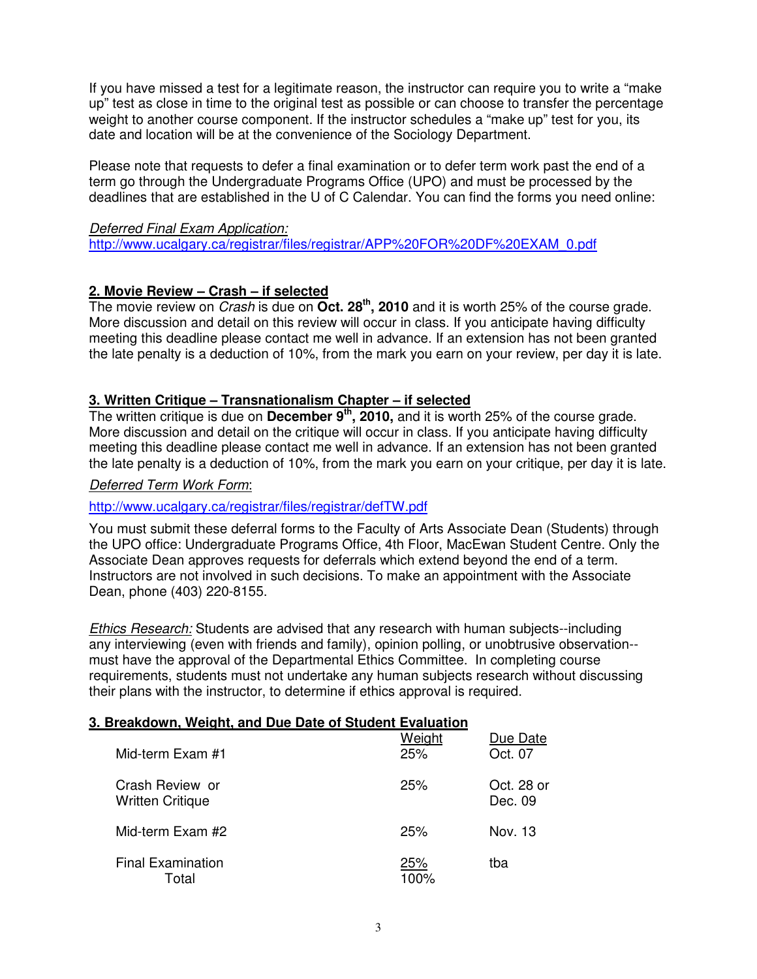If you have missed a test for a legitimate reason, the instructor can require you to write a "make up" test as close in time to the original test as possible or can choose to transfer the percentage weight to another course component. If the instructor schedules a "make up" test for you, its date and location will be at the convenience of the Sociology Department.

Please note that requests to defer a final examination or to defer term work past the end of a term go through the Undergraduate Programs Office (UPO) and must be processed by the deadlines that are established in the U of C Calendar. You can find the forms you need online:

#### Deferred Final Exam Application:

http://www.ucalgary.ca/registrar/files/registrar/APP%20FOR%20DF%20EXAM\_0.pdf

### **2. Movie Review – Crash – if selected**

The movie review on Crash is due on **Oct. 28th , 2010** and it is worth 25% of the course grade. More discussion and detail on this review will occur in class. If you anticipate having difficulty meeting this deadline please contact me well in advance. If an extension has not been granted the late penalty is a deduction of 10%, from the mark you earn on your review, per day it is late.

#### **3. Written Critique – Transnationalism Chapter – if selected**

The written critique is due on **December 9<sup>th</sup>, 2010**, and it is worth 25% of the course grade. More discussion and detail on the critique will occur in class. If you anticipate having difficulty meeting this deadline please contact me well in advance. If an extension has not been granted the late penalty is a deduction of 10%, from the mark you earn on your critique, per day it is late.

#### Deferred Term Work Form:

#### http://www.ucalgary.ca/registrar/files/registrar/defTW.pdf

You must submit these deferral forms to the Faculty of Arts Associate Dean (Students) through the UPO office: Undergraduate Programs Office, 4th Floor, MacEwan Student Centre. Only the Associate Dean approves requests for deferrals which extend beyond the end of a term. Instructors are not involved in such decisions. To make an appointment with the Associate Dean, phone (403) 220-8155.

Ethics Research: Students are advised that any research with human subjects--including any interviewing (even with friends and family), opinion polling, or unobtrusive observation- must have the approval of the Departmental Ethics Committee. In completing course requirements, students must not undertake any human subjects research without discussing their plans with the instructor, to determine if ethics approval is required.

#### **3. Breakdown, Weight, and Due Date of Student Evaluation**

| Mid-term Exam #1                           | Weight<br>25% | Due Date<br>Oct. 07   |
|--------------------------------------------|---------------|-----------------------|
| Crash Review or<br><b>Written Critique</b> | 25%           | Oct. 28 or<br>Dec. 09 |
| Mid-term Exam #2                           | 25%           | Nov. 13               |
| <b>Final Examination</b><br>Total          | 25%<br>100%   | tba                   |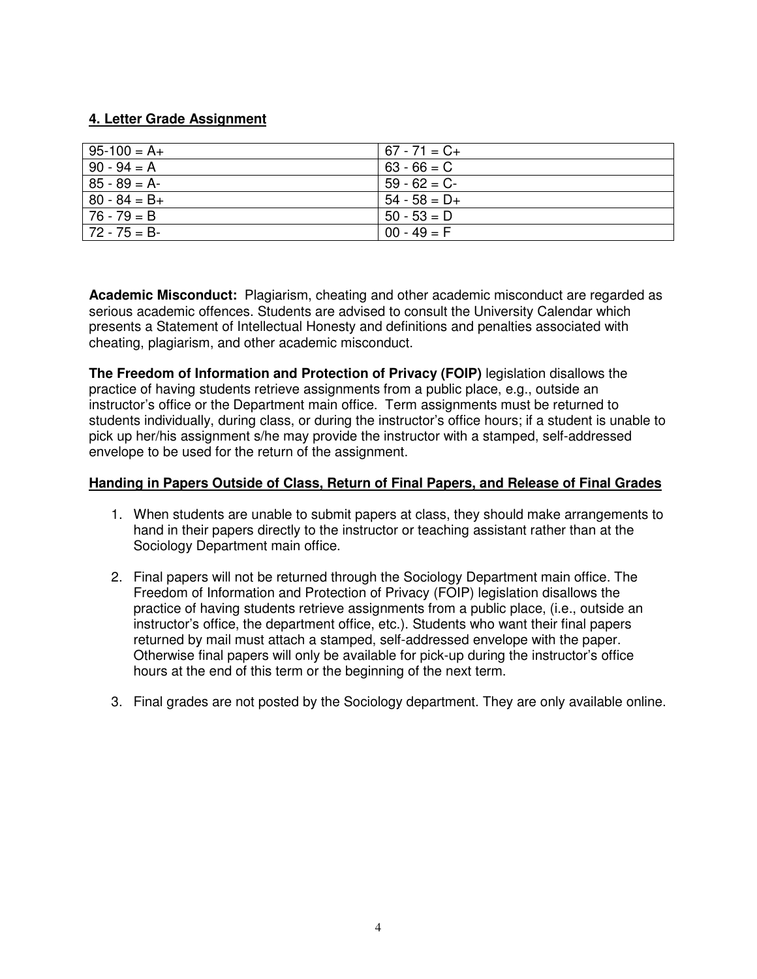## **4. Letter Grade Assignment**

| $95-100 = A+$  | $67 - 71 = C +$ |
|----------------|-----------------|
| $90 - 94 = A$  | $63 - 66 = C$   |
| $85 - 89 = A$  | $59 - 62 = C$   |
| $80 - 84 = B+$ | $54 - 58 = D +$ |
| $76 - 79 = B$  | $50 - 53 = D$   |
| l 72 - 75 = B- | $00 - 49 = F$   |

**Academic Misconduct:** Plagiarism, cheating and other academic misconduct are regarded as serious academic offences. Students are advised to consult the University Calendar which presents a Statement of Intellectual Honesty and definitions and penalties associated with cheating, plagiarism, and other academic misconduct.

**The Freedom of Information and Protection of Privacy (FOIP)** legislation disallows the practice of having students retrieve assignments from a public place, e.g., outside an instructor's office or the Department main office. Term assignments must be returned to students individually, during class, or during the instructor's office hours; if a student is unable to pick up her/his assignment s/he may provide the instructor with a stamped, self-addressed envelope to be used for the return of the assignment.

#### **Handing in Papers Outside of Class, Return of Final Papers, and Release of Final Grades**

- 1. When students are unable to submit papers at class, they should make arrangements to hand in their papers directly to the instructor or teaching assistant rather than at the Sociology Department main office.
- 2. Final papers will not be returned through the Sociology Department main office. The Freedom of Information and Protection of Privacy (FOIP) legislation disallows the practice of having students retrieve assignments from a public place, (i.e., outside an instructor's office, the department office, etc.). Students who want their final papers returned by mail must attach a stamped, self-addressed envelope with the paper. Otherwise final papers will only be available for pick-up during the instructor's office hours at the end of this term or the beginning of the next term.
- 3. Final grades are not posted by the Sociology department. They are only available online.